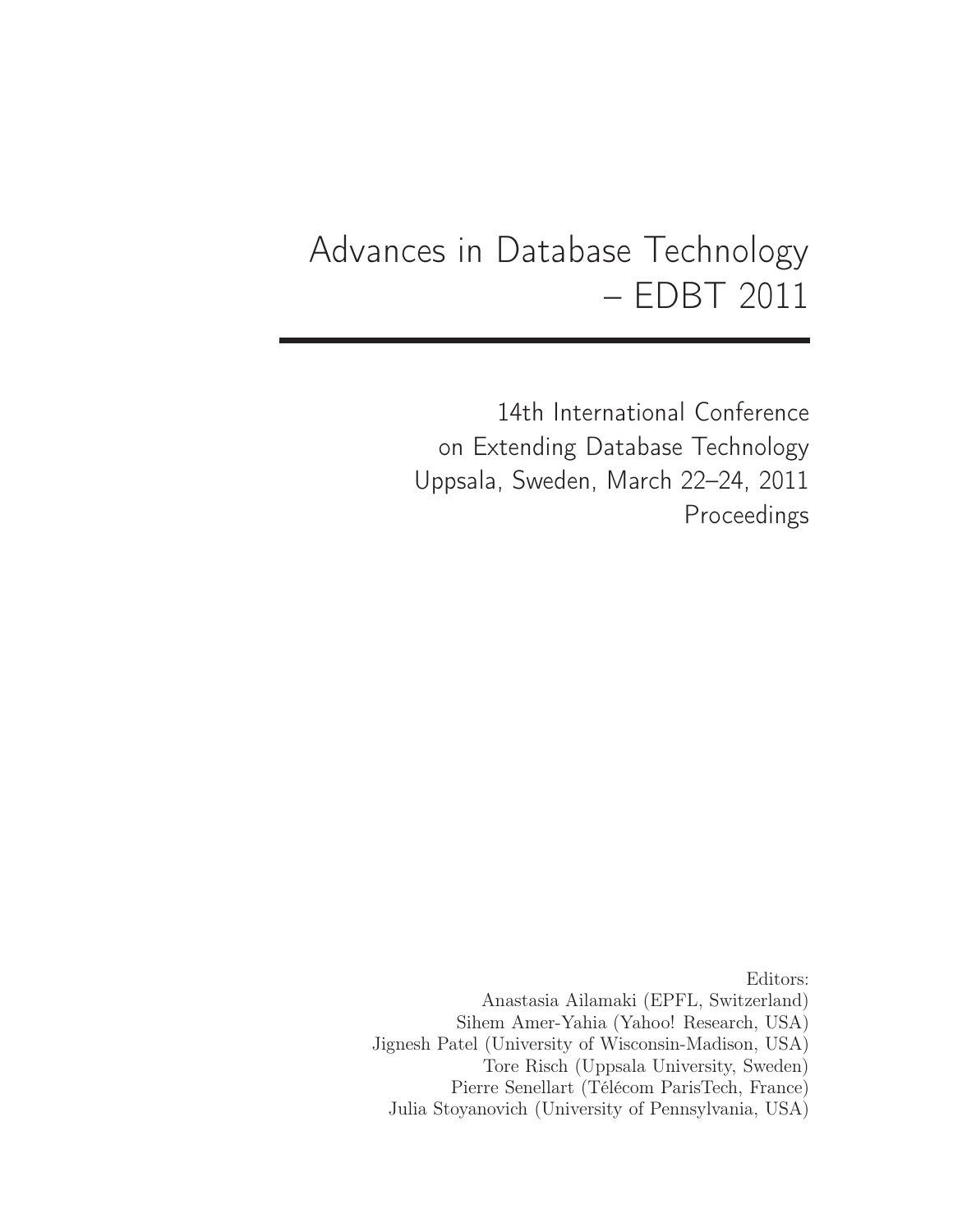# Advances in Database Technology – EDBT 2011

14th International Conference on Extending Database Technology Uppsala, Sweden, March 22–24, 2011 Proceedings

Editors: Anastasia Ailamaki (EPFL, Switzerland) Sihem Amer-Yahia (Yahoo! Research, USA) Jignesh Patel (University of Wisconsin-Madison, USA) Tore Risch (Uppsala University, Sweden) Pierre Senellart (Télécom ParisTech, France) Julia Stoyanovich (University of Pennsylvania, USA)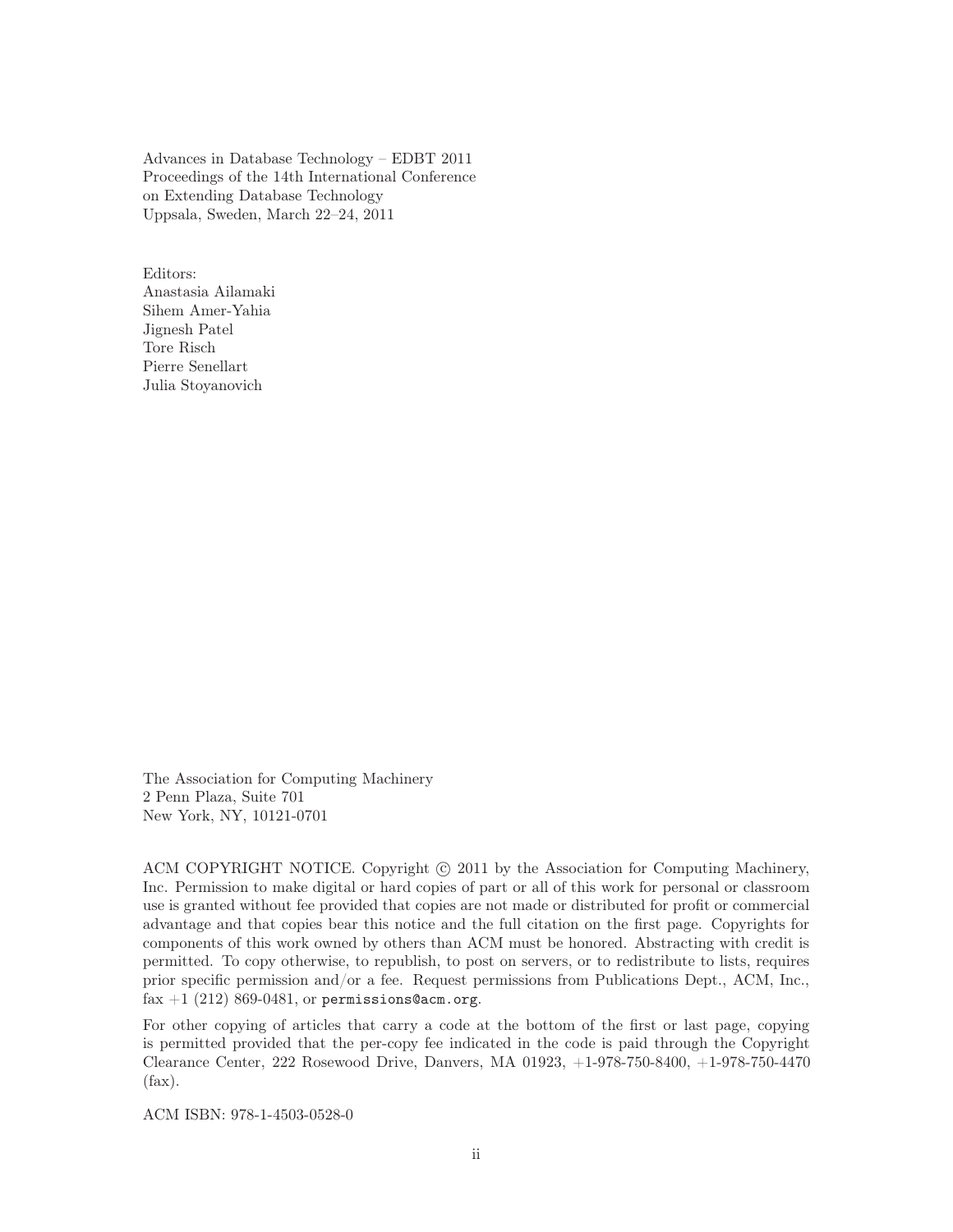Advances in Database Technology – EDBT 2011 Proceedings of the 14th International Conference on Extending Database Technology Uppsala, Sweden, March 22–24, 2011

Editors: Anastasia Ailamaki Sihem Amer-Yahia Jignesh Patel Tore Risch Pierre Senellart Julia Stoyanovich

The Association for Computing Machinery 2 Penn Plaza, Suite 701 New York, NY, 10121-0701

ACM COPYRIGHT NOTICE. Copyright  $\odot$  2011 by the Association for Computing Machinery, Inc. Permission to make digital or hard copies of part or all of this work for personal or classroom use is granted without fee provided that copies are not made or distributed for profit or commercial advantage and that copies bear this notice and the full citation on the first page. Copyrights for components of this work owned by others than ACM must be honored. Abstracting with credit is permitted. To copy otherwise, to republish, to post on servers, or to redistribute to lists, requires prior specific permission and/or a fee. Request permissions from Publications Dept., ACM, Inc., fax  $+1$  (212) 869-0481, or permissions@acm.org.

For other copying of articles that carry a code at the bottom of the first or last page, copying is permitted provided that the per-copy fee indicated in the code is paid through the Copyright Clearance Center, 222 Rosewood Drive, Danvers, MA 01923, +1-978-750-8400, +1-978-750-4470 (fax).

ACM ISBN: 978-1-4503-0528-0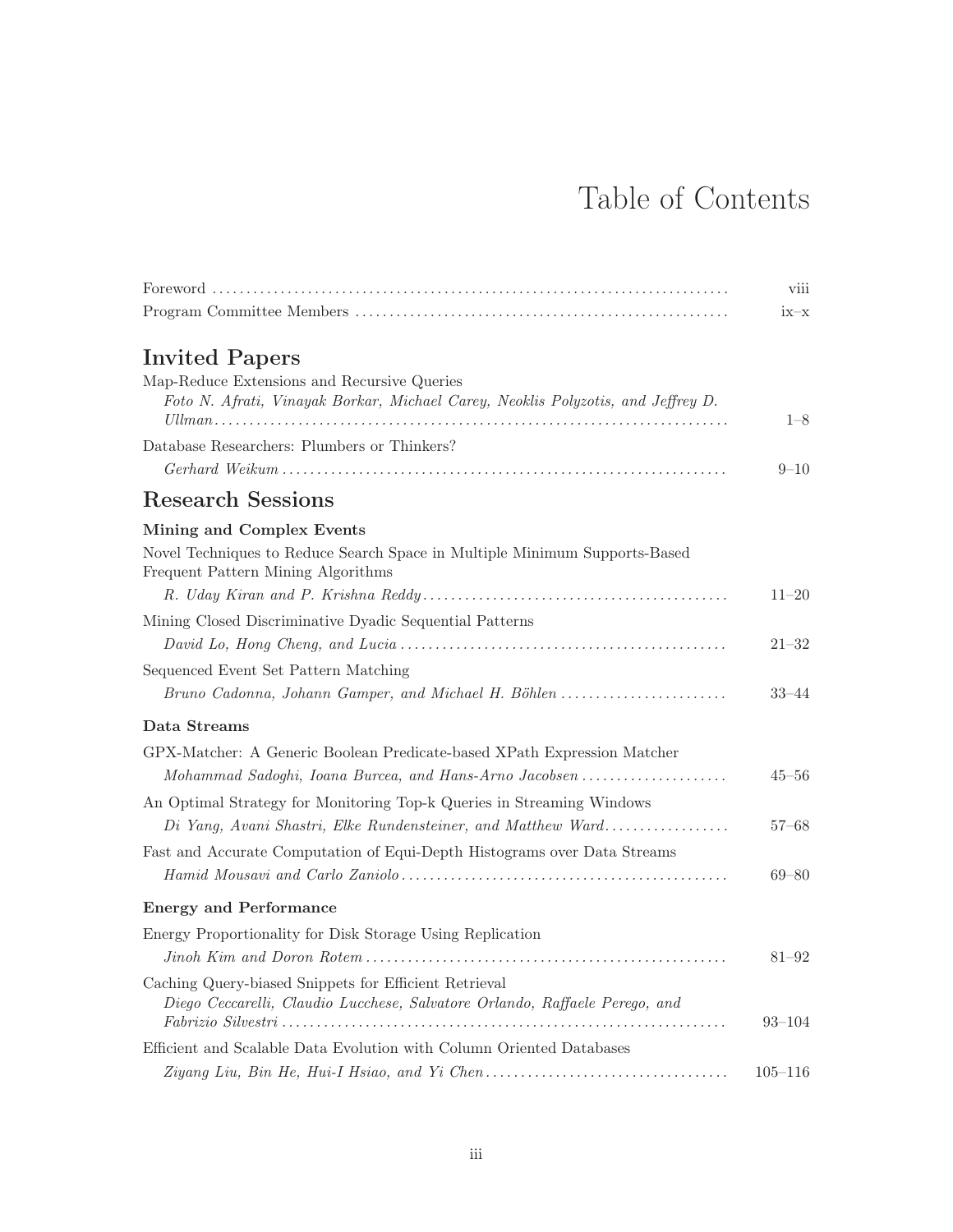### Table of Contents

|                                                                                                                                      | viii        |
|--------------------------------------------------------------------------------------------------------------------------------------|-------------|
|                                                                                                                                      | ix-x        |
| <b>Invited Papers</b>                                                                                                                |             |
| Map-Reduce Extensions and Recursive Queries<br>Foto N. Afrati, Vinayak Borkar, Michael Carey, Neoklis Polyzotis, and Jeffrey D.      | $1 - 8$     |
| Database Researchers: Plumbers or Thinkers?                                                                                          |             |
|                                                                                                                                      | $9 - 10$    |
| <b>Research Sessions</b>                                                                                                             |             |
| Mining and Complex Events                                                                                                            |             |
| Novel Techniques to Reduce Search Space in Multiple Minimum Supports-Based<br>Frequent Pattern Mining Algorithms                     |             |
|                                                                                                                                      | $11 - 20$   |
| Mining Closed Discriminative Dyadic Sequential Patterns                                                                              |             |
|                                                                                                                                      | $21 - 32$   |
| Sequenced Event Set Pattern Matching                                                                                                 |             |
| Bruno Cadonna, Johann Gamper, and Michael H. Böhlen                                                                                  | $33 - 44$   |
| Data Streams                                                                                                                         |             |
| GPX-Matcher: A Generic Boolean Predicate-based XPath Expression Matcher                                                              |             |
| Mohammad Sadoghi, Ioana Burcea, and Hans-Arno Jacobsen                                                                               | $45 - 56$   |
| An Optimal Strategy for Monitoring Top-k Queries in Streaming Windows                                                                |             |
| Di Yang, Avani Shastri, Elke Rundensteiner, and Matthew Ward                                                                         | $57 - 68$   |
| Fast and Accurate Computation of Equi-Depth Histograms over Data Streams                                                             |             |
|                                                                                                                                      | $69 - 80$   |
| <b>Energy and Performance</b>                                                                                                        |             |
| Energy Proportionality for Disk Storage Using Replication                                                                            |             |
|                                                                                                                                      | 81–92       |
| Caching Query-biased Snippets for Efficient Retrieval<br>Diego Ceccarelli, Claudio Lucchese, Salvatore Orlando, Raffaele Perego, and | $93 - 104$  |
| Efficient and Scalable Data Evolution with Column Oriented Databases                                                                 |             |
|                                                                                                                                      | $105 - 116$ |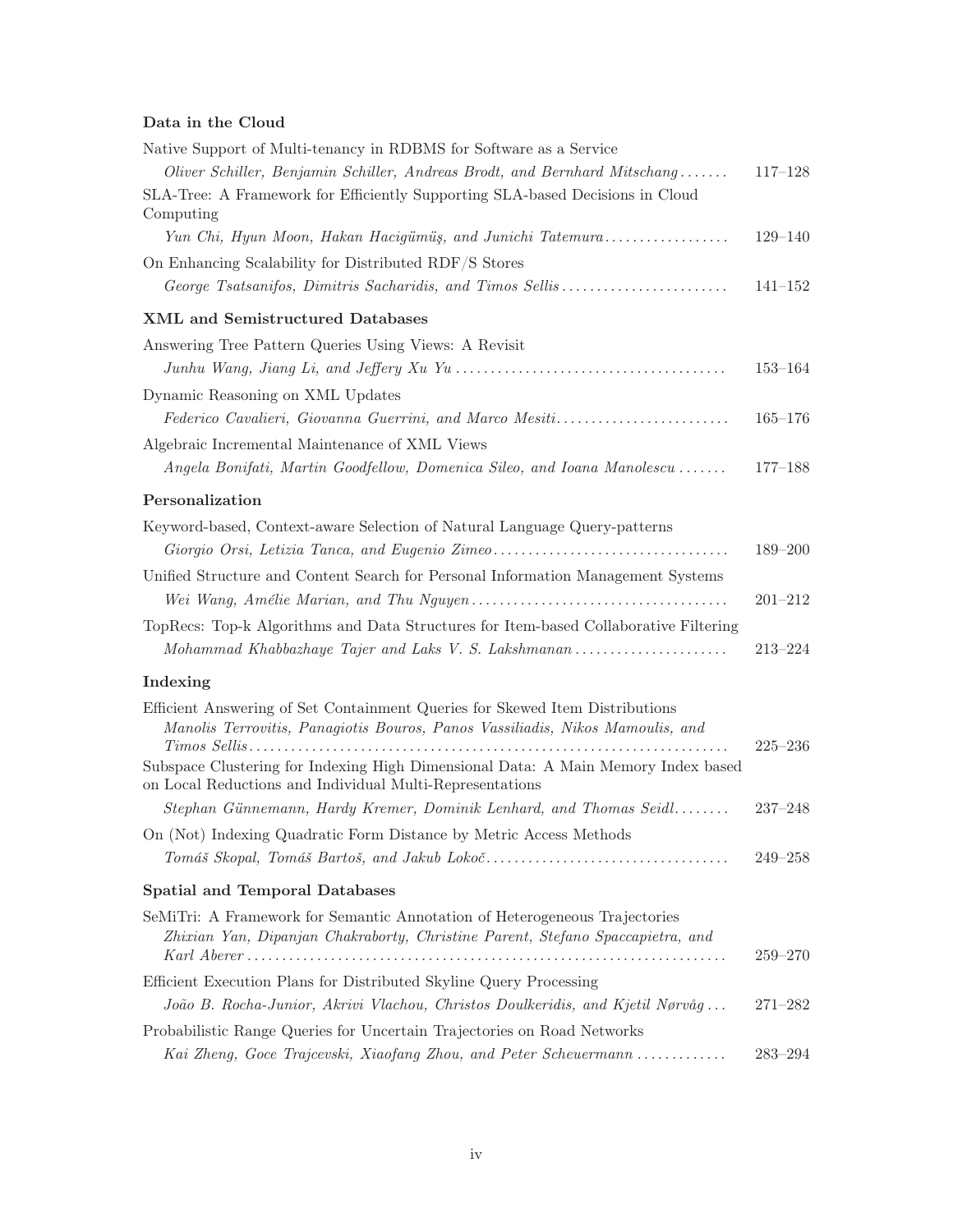#### Data in the Cloud

| Native Support of Multi-tenancy in RDBMS for Software as a Service                                                                                            |             |
|---------------------------------------------------------------------------------------------------------------------------------------------------------------|-------------|
| Oliver Schiller, Benjamin Schiller, Andreas Brodt, and Bernhard Mitschang                                                                                     | $117 - 128$ |
| SLA-Tree: A Framework for Efficiently Supporting SLA-based Decisions in Cloud<br>Computing                                                                    |             |
| Yun Chi, Hyun Moon, Hakan Hacigümüş, and Junichi Tatemura                                                                                                     | $129 - 140$ |
| On Enhancing Scalability for Distributed RDF/S Stores                                                                                                         |             |
| George Tsatsanifos, Dimitris Sacharidis, and Timos Sellis                                                                                                     | $141 - 152$ |
| <b>XML</b> and Semistructured Databases                                                                                                                       |             |
| Answering Tree Pattern Queries Using Views: A Revisit                                                                                                         |             |
|                                                                                                                                                               | $153 - 164$ |
| Dynamic Reasoning on XML Updates                                                                                                                              |             |
| Federico Cavalieri, Giovanna Guerrini, and Marco Mesiti                                                                                                       | $165 - 176$ |
| Algebraic Incremental Maintenance of XML Views                                                                                                                |             |
| Angela Bonifati, Martin Goodfellow, Domenica Sileo, and Ioana Manolescu                                                                                       | $177 - 188$ |
| Personalization                                                                                                                                               |             |
| Keyword-based, Context-aware Selection of Natural Language Query-patterns                                                                                     |             |
| Giorgio Orsi, Letizia Tanca, and Eugenio Zimeo                                                                                                                | $189 - 200$ |
| Unified Structure and Content Search for Personal Information Management Systems                                                                              |             |
|                                                                                                                                                               | $201 - 212$ |
| TopRecs: Top-k Algorithms and Data Structures for Item-based Collaborative Filtering                                                                          |             |
| Mohammad Khabbazhaye Tajer and Laks V. S. Lakshmanan                                                                                                          | $213 - 224$ |
| Indexing                                                                                                                                                      |             |
| Efficient Answering of Set Containment Queries for Skewed Item Distributions<br>Manolis Terrovitis, Panagiotis Bouros, Panos Vassiliadis, Nikos Mamoulis, and |             |
| $Timos$ Sellis                                                                                                                                                | $225 - 236$ |
| Subspace Clustering for Indexing High Dimensional Data: A Main Memory Index based<br>on Local Reductions and Individual Multi-Representations                 |             |
| Stephan Günnemann, Hardy Kremer, Dominik Lenhard, and Thomas Seidl                                                                                            | $237 - 248$ |
| On (Not) Indexing Quadratic Form Distance by Metric Access Methods                                                                                            |             |
|                                                                                                                                                               | $249 - 258$ |
| <b>Spatial and Temporal Databases</b>                                                                                                                         |             |
| SeMiTri: A Framework for Semantic Annotation of Heterogeneous Trajectories<br>Zhixian Yan, Dipanjan Chakraborty, Christine Parent, Stefano Spaccapietra, and  | $259 - 270$ |
| Efficient Execution Plans for Distributed Skyline Query Processing                                                                                            |             |
| João B. Rocha-Junior, Akrivi Vlachou, Christos Doulkeridis, and Kjetil Nørvåg                                                                                 | $271 - 282$ |
| Probabilistic Range Queries for Uncertain Trajectories on Road Networks                                                                                       |             |
| Kai Zheng, Goce Trajcevski, Xiaofang Zhou, and Peter Scheuermann                                                                                              | $283 - 294$ |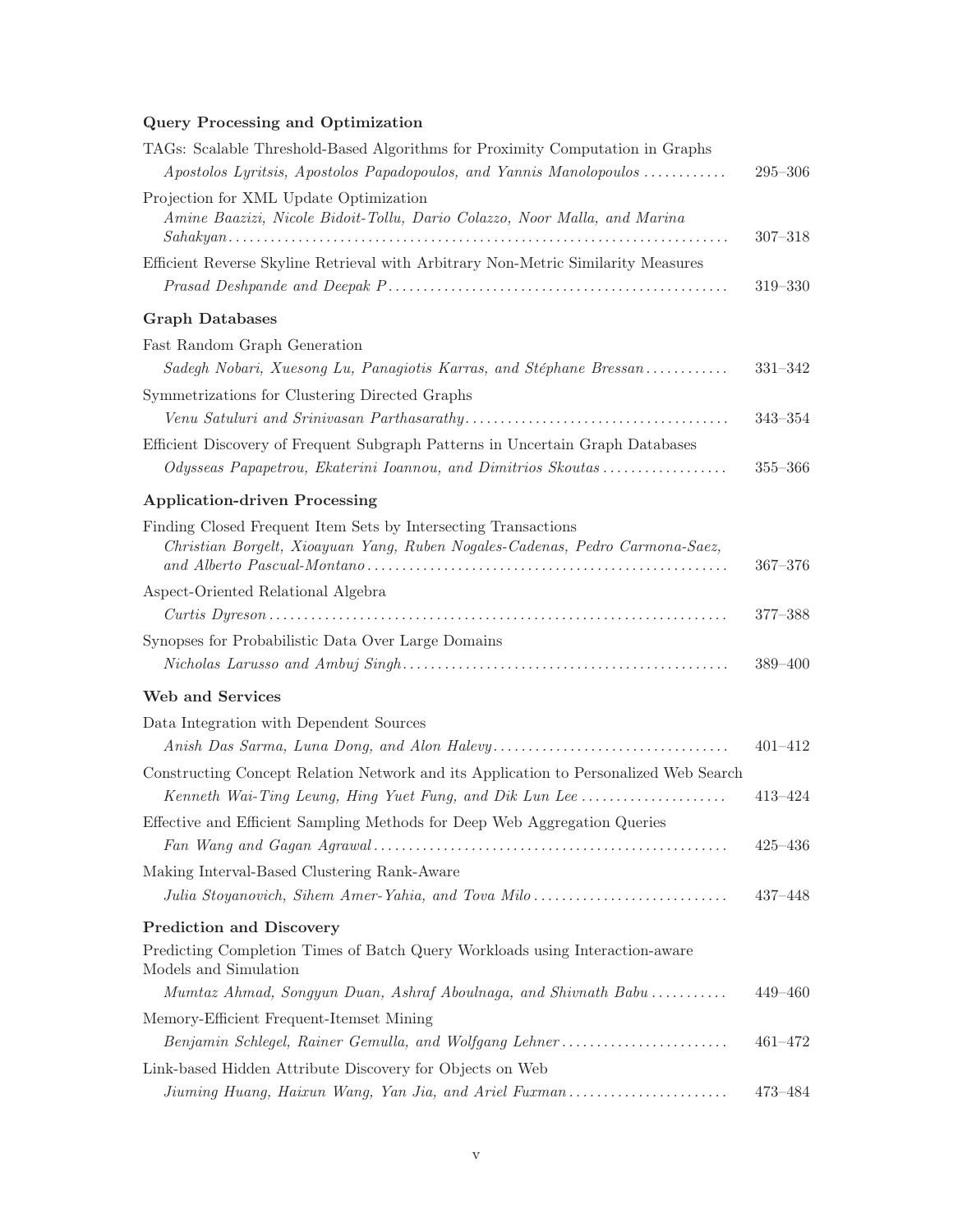#### Query Processing and Optimization

| TAGs: Scalable Threshold-Based Algorithms for Proximity Computation in Graphs                                                                  |             |
|------------------------------------------------------------------------------------------------------------------------------------------------|-------------|
| Apostolos Lyritsis, Apostolos Papadopoulos, and Yannis Manolopoulos                                                                            | $295 - 306$ |
| Projection for XML Update Optimization<br>Amine Baazizi, Nicole Bidoit-Tollu, Dario Colazzo, Noor Malla, and Marina                            | $307 - 318$ |
| Efficient Reverse Skyline Retrieval with Arbitrary Non-Metric Similarity Measures                                                              |             |
|                                                                                                                                                | $319 - 330$ |
| <b>Graph Databases</b>                                                                                                                         |             |
| Fast Random Graph Generation                                                                                                                   |             |
| Sadegh Nobari, Xuesong Lu, Panagiotis Karras, and Stéphane Bressan                                                                             | $331 - 342$ |
| Symmetrizations for Clustering Directed Graphs                                                                                                 |             |
|                                                                                                                                                | $343 - 354$ |
| Efficient Discovery of Frequent Subgraph Patterns in Uncertain Graph Databases                                                                 |             |
| Odysseas Papapetrou, Ekaterini Ioannou, and Dimitrios Skoutas                                                                                  | $355 - 366$ |
| <b>Application-driven Processing</b>                                                                                                           |             |
| Finding Closed Frequent Item Sets by Intersecting Transactions<br>Christian Borgelt, Xioayuan Yang, Ruben Nogales-Cadenas, Pedro Carmona-Saez, | $367 - 376$ |
| Aspect-Oriented Relational Algebra                                                                                                             |             |
|                                                                                                                                                | $377 - 388$ |
| Synopses for Probabilistic Data Over Large Domains                                                                                             |             |
|                                                                                                                                                | $389 - 400$ |
| Web and Services                                                                                                                               |             |
| Data Integration with Dependent Sources                                                                                                        |             |
|                                                                                                                                                | $401 - 412$ |
| Constructing Concept Relation Network and its Application to Personalized Web Search                                                           |             |
| Kenneth Wai-Ting Leung, Hing Yuet Fung, and Dik Lun Lee                                                                                        | $413 - 424$ |
| Effective and Efficient Sampling Methods for Deep Web Aggregation Queries                                                                      |             |
|                                                                                                                                                | $425 - 436$ |
| Making Interval-Based Clustering Rank-Aware                                                                                                    |             |
| Julia Stoyanovich, Sihem Amer-Yahia, and Tova Milo                                                                                             | $437 - 448$ |
| <b>Prediction and Discovery</b>                                                                                                                |             |
| Predicting Completion Times of Batch Query Workloads using Interaction-aware<br>Models and Simulation                                          |             |
| Mumtaz Ahmad, Songyun Duan, Ashraf Aboulnaga, and Shivnath Babu                                                                                | $449 - 460$ |
| Memory-Efficient Frequent-Itemset Mining                                                                                                       |             |
| Benjamin Schlegel, Rainer Gemulla, and Wolfgang Lehner                                                                                         | $461 - 472$ |
| Link-based Hidden Attribute Discovery for Objects on Web                                                                                       |             |
| Jiuming Huang, Haixun Wang, Yan Jia, and Ariel Fuxman                                                                                          | 473-484     |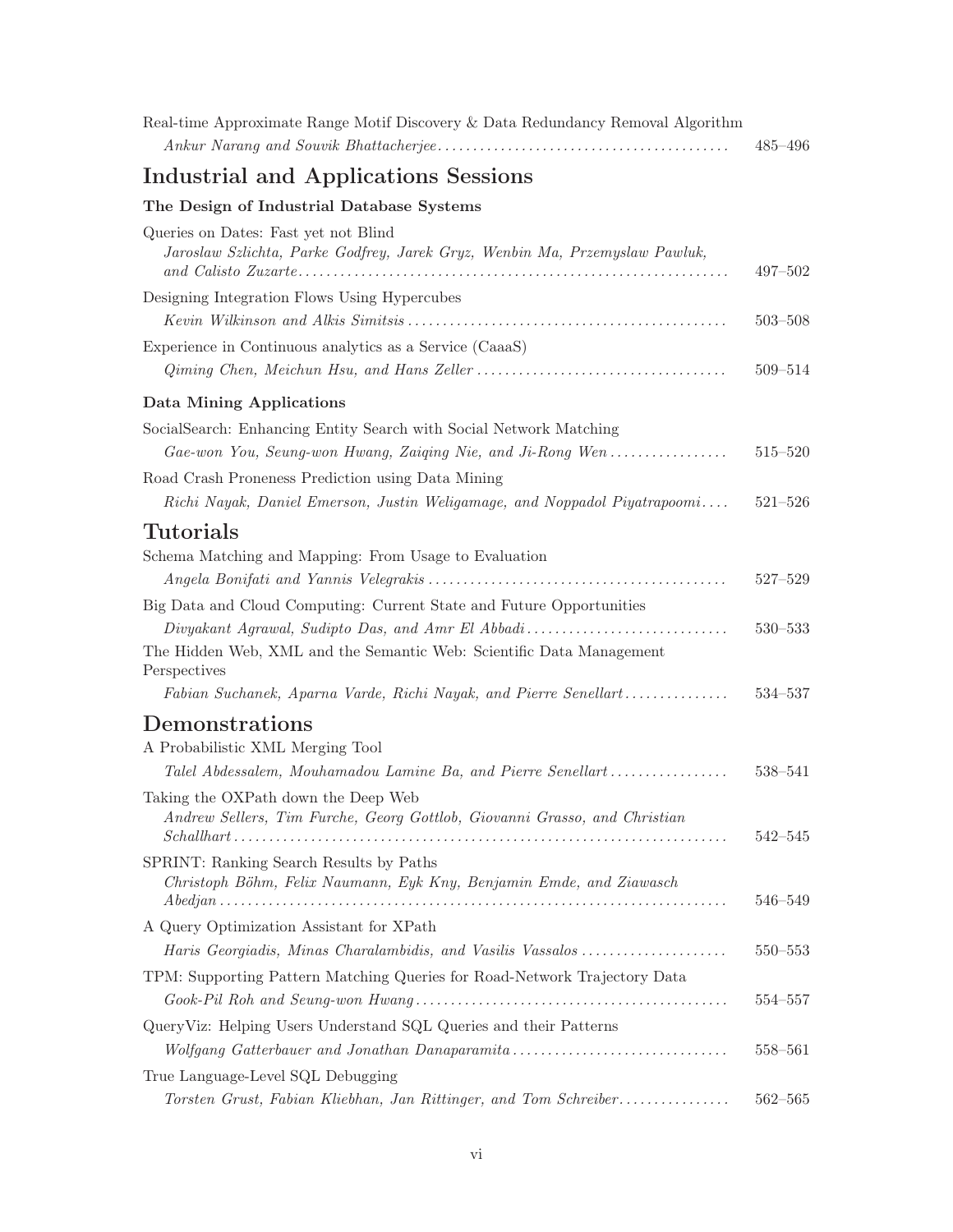| Real-time Approximate Range Motif Discovery & Data Redundancy Removal Algorithm | $485 - 496$ |
|---------------------------------------------------------------------------------|-------------|
| Industrial and Applications Sessions                                            |             |
| The Design of Industrial Database Systems                                       |             |
| Queries on Dates: Fast yet not Blind                                            |             |
| Jaroslaw Szlichta, Parke Godfrey, Jarek Gryz, Wenbin Ma, Przemyslaw Pawluk,     | $497 - 502$ |
| Designing Integration Flows Using Hypercubes                                    |             |
|                                                                                 | $503 - 508$ |
| Experience in Continuous analytics as a Service (CaaaS)                         | $509 - 514$ |
| Data Mining Applications                                                        |             |
| SocialSearch: Enhancing Entity Search with Social Network Matching              |             |
| Gae-won You, Seung-won Hwang, Zaiging Nie, and Ji-Rong Wen                      | $515 - 520$ |
| Road Crash Proneness Prediction using Data Mining                               |             |
| Richi Nayak, Daniel Emerson, Justin Weligamage, and Noppadol Piyatrapoomi       | $521 - 526$ |
| <b>Tutorials</b>                                                                |             |
| Schema Matching and Mapping: From Usage to Evaluation                           |             |
|                                                                                 | $527 - 529$ |
| Big Data and Cloud Computing: Current State and Future Opportunities            |             |
|                                                                                 | $530 - 533$ |
| The Hidden Web, XML and the Semantic Web: Scientific Data Management            |             |
| Perspectives                                                                    |             |
| Fabian Suchanek, Aparna Varde, Richi Nayak, and Pierre Senellart                | 534-537     |
| Demonstrations                                                                  |             |
| A Probabilistic XML Merging Tool                                                |             |
| Talel Abdessalem, Mouhamadou Lamine Ba, and Pierre Senellart                    | 538-541     |
| Taking the OXPath down the Deep Web                                             |             |
| Andrew Sellers, Tim Furche, Georg Gottlob, Giovanni Grasso, and Christian       | $542 - 545$ |
| SPRINT: Ranking Search Results by Paths                                         |             |
| Christoph Böhm, Felix Naumann, Eyk Kny, Benjamin Emde, and Ziawasch             |             |
|                                                                                 | $546 - 549$ |
| A Query Optimization Assistant for XPath                                        |             |
| Haris Georgiadis, Minas Charalambidis, and Vasilis Vassalos                     | $550 - 553$ |
| TPM: Supporting Pattern Matching Queries for Road-Network Trajectory Data       |             |
|                                                                                 | 554-557     |
| QueryViz: Helping Users Understand SQL Queries and their Patterns               |             |
| Wolfgang Gatterbauer and Jonathan Danaparamita                                  | 558-561     |
| True Language-Level SQL Debugging                                               |             |
| Torsten Grust, Fabian Kliebhan, Jan Rittinger, and Tom Schreiber                | $562 - 565$ |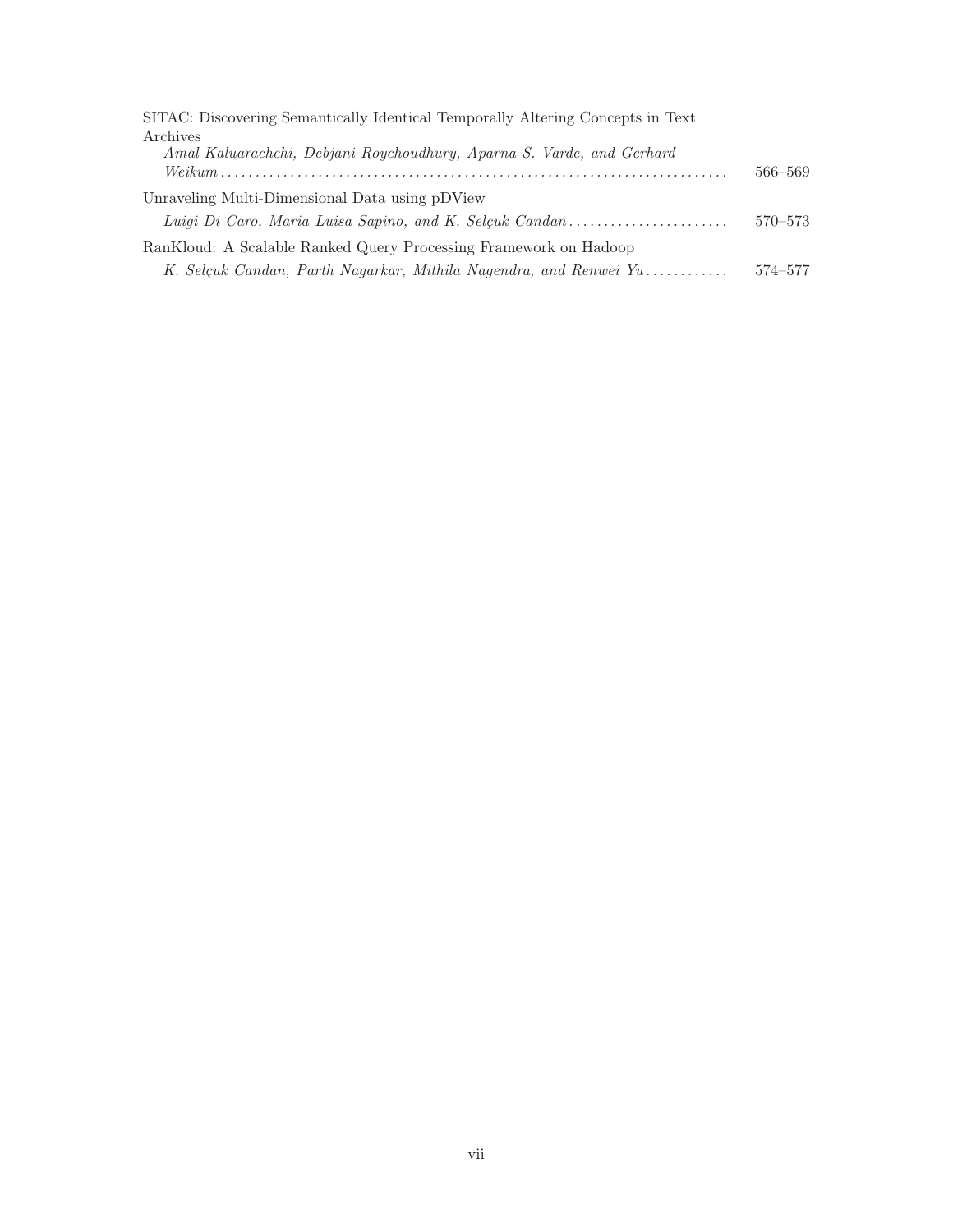| SITAC: Discovering Semantically Identical Temporally Altering Concepts in Text |         |
|--------------------------------------------------------------------------------|---------|
| Archives                                                                       |         |
| Amal Kaluarachchi, Debjani Roychoudhury, Aparna S. Varde, and Gerhard          |         |
|                                                                                | 566–569 |
| Unraveling Multi-Dimensional Data using pDView                                 |         |
|                                                                                | 570–573 |
| RanKloud: A Scalable Ranked Query Processing Framework on Hadoop               |         |
| K. Selçuk Candan, Parth Nagarkar, Mithila Nagendra, and Renwei Yu              | 574–577 |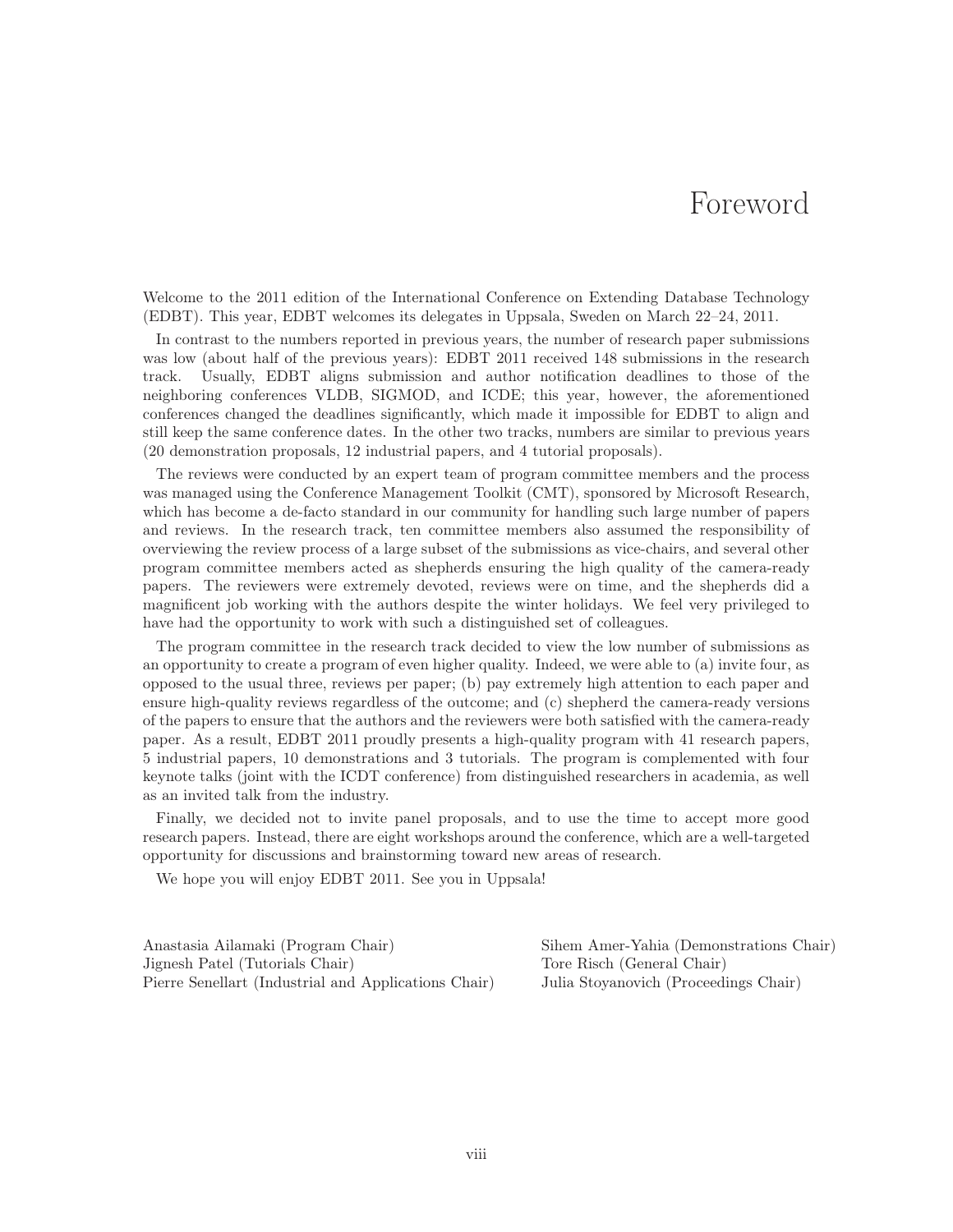### Foreword

Welcome to the 2011 edition of the International Conference on Extending Database Technology (EDBT). This year, EDBT welcomes its delegates in Uppsala, Sweden on March 22–24, 2011.

In contrast to the numbers reported in previous years, the number of research paper submissions was low (about half of the previous years): EDBT 2011 received 148 submissions in the research track. Usually, EDBT aligns submission and author notification deadlines to those of the neighboring conferences VLDB, SIGMOD, and ICDE; this year, however, the aforementioned conferences changed the deadlines significantly, which made it impossible for EDBT to align and still keep the same conference dates. In the other two tracks, numbers are similar to previous years (20 demonstration proposals, 12 industrial papers, and 4 tutorial proposals).

The reviews were conducted by an expert team of program committee members and the process was managed using the Conference Management Toolkit (CMT), sponsored by Microsoft Research, which has become a de-facto standard in our community for handling such large number of papers and reviews. In the research track, ten committee members also assumed the responsibility of overviewing the review process of a large subset of the submissions as vice-chairs, and several other program committee members acted as shepherds ensuring the high quality of the camera-ready papers. The reviewers were extremely devoted, reviews were on time, and the shepherds did a magnificent job working with the authors despite the winter holidays. We feel very privileged to have had the opportunity to work with such a distinguished set of colleagues.

The program committee in the research track decided to view the low number of submissions as an opportunity to create a program of even higher quality. Indeed, we were able to (a) invite four, as opposed to the usual three, reviews per paper; (b) pay extremely high attention to each paper and ensure high-quality reviews regardless of the outcome; and (c) shepherd the camera-ready versions of the papers to ensure that the authors and the reviewers were both satisfied with the camera-ready paper. As a result, EDBT 2011 proudly presents a high-quality program with 41 research papers, 5 industrial papers, 10 demonstrations and 3 tutorials. The program is complemented with four keynote talks (joint with the ICDT conference) from distinguished researchers in academia, as well as an invited talk from the industry.

Finally, we decided not to invite panel proposals, and to use the time to accept more good research papers. Instead, there are eight workshops around the conference, which are a well-targeted opportunity for discussions and brainstorming toward new areas of research.

We hope you will enjoy EDBT 2011. See you in Uppsala!

Anastasia Ailamaki (Program Chair) Sihem Amer-Yahia (Demonstrations Chair) Jignesh Patel (Tutorials Chair) Tore Risch (General Chair) Pierre Senellart (Industrial and Applications Chair) Julia Stoyanovich (Proceedings Chair)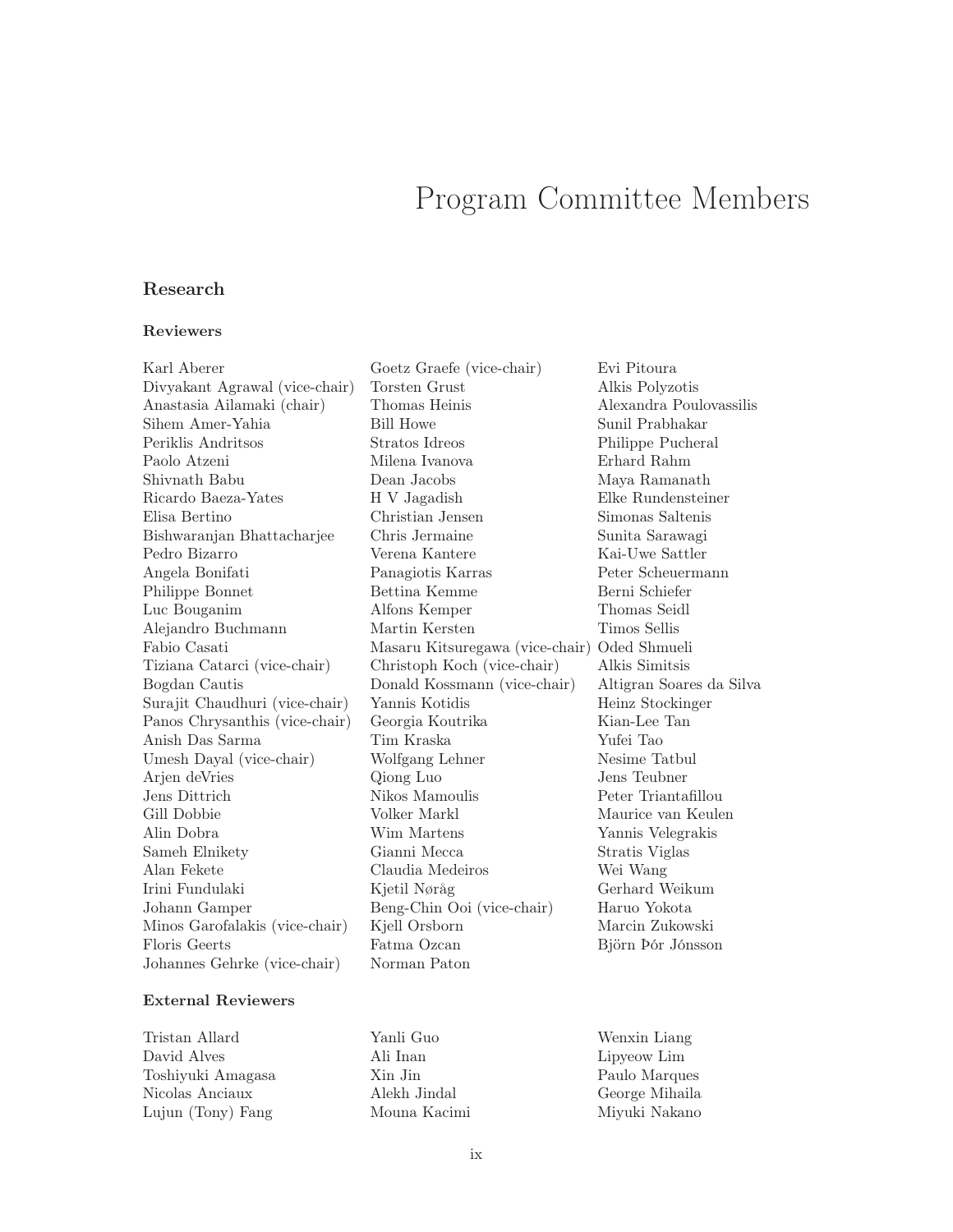## Program Committee Members

#### Research

#### Reviewers

| Karl Aberer                    | Goetz Graefe (vice-chair)                    | Evi Pitoura              |
|--------------------------------|----------------------------------------------|--------------------------|
| Divyakant Agrawal (vice-chair) | Torsten Grust                                | Alkis Polyzotis          |
| Anastasia Ailamaki (chair)     | Thomas Heinis                                | Alexandra Poulovassilis  |
| Sihem Amer-Yahia               | <b>Bill Howe</b>                             | Sunil Prabhakar          |
| Periklis Andritsos             | Stratos Idreos                               | Philippe Pucheral        |
| Paolo Atzeni                   | Milena Ivanova                               | Erhard Rahm              |
| Shivnath Babu                  | Dean Jacobs                                  | Maya Ramanath            |
| Ricardo Baeza-Yates            | H V Jagadish                                 | Elke Rundensteiner       |
| Elisa Bertino                  | Christian Jensen                             | Simonas Saltenis         |
| Bishwaranjan Bhattacharjee     | Chris Jermaine                               | Sunita Sarawagi          |
| Pedro Bizarro                  | Verena Kantere                               | Kai-Uwe Sattler          |
| Angela Bonifati                | Panagiotis Karras                            | Peter Scheuermann        |
| Philippe Bonnet                | Bettina Kemme                                | Berni Schiefer           |
| Luc Bouganim                   | Alfons Kemper                                | Thomas Seidl             |
| Alejandro Buchmann             | Martin Kersten                               | Timos Sellis             |
| Fabio Casati                   | Masaru Kitsuregawa (vice-chair) Oded Shmueli |                          |
| Tiziana Catarci (vice-chair)   | Christoph Koch (vice-chair)                  | Alkis Simitsis           |
| Bogdan Cautis                  | Donald Kossmann (vice-chair)                 | Altigran Soares da Silva |
| Surajit Chaudhuri (vice-chair) | Yannis Kotidis                               | Heinz Stockinger         |
| Panos Chrysanthis (vice-chair) | Georgia Koutrika                             | Kian-Lee Tan             |
| Anish Das Sarma                | Tim Kraska                                   | Yufei Tao                |
| Umesh Dayal (vice-chair)       | Wolfgang Lehner                              | Nesime Tatbul            |
| Arjen deVries                  | Qiong Luo                                    | Jens Teubner             |
| Jens Dittrich                  | Nikos Mamoulis                               | Peter Triantafillou      |
| Gill Dobbie                    | Volker Markl                                 | Maurice van Keulen       |
| Alin Dobra                     | Wim Martens                                  | Yannis Velegrakis        |
| Sameh Elnikety                 | Gianni Mecca                                 | Stratis Viglas           |
| Alan Fekete                    | Claudia Medeiros                             | Wei Wang                 |
| Irini Fundulaki                | Kjetil Nøråg                                 | Gerhard Weikum           |
| Johann Gamper                  | Beng-Chin Ooi (vice-chair)                   | Haruo Yokota             |
| Minos Garofalakis (vice-chair) | Kjell Orsborn                                | Marcin Zukowski          |
| Floris Geerts                  | Fatma Ozcan                                  | Björn Þór Jónsson        |
| Johannes Gehrke (vice-chair)   | Norman Paton                                 |                          |

#### External Reviewers

| Yanli Guo    |
|--------------|
| Ali Inan     |
| Xin Jin      |
| Alekh Jindal |
| Mouna Kacimi |
|              |

Wenxin Liang Lipyeow Lim Paulo Marques George Mihaila Miyuki Nakano